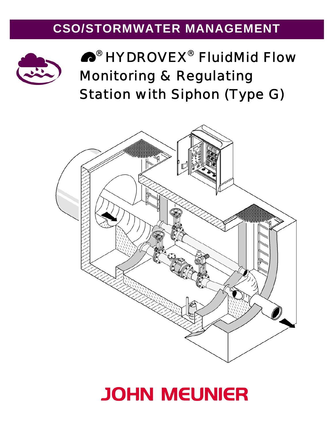# **CSO/STORMWATER MANAGEMENT**



# ® HYDROVEX® *Fluid*Mid Flow Monitoring & Regulating Station with Siphon (Type G)



# **JOHN MEUNIER**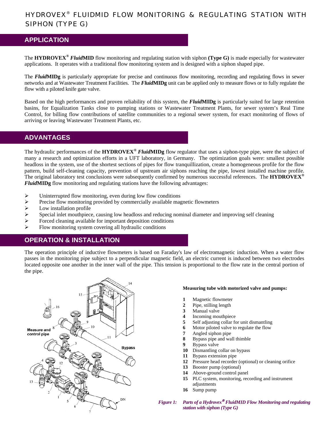# HYDROVEX® *FLUID*MID FLOW MONITORING & REGULATING STATION WITH SIPHON (TYPE G)

### **APPLICATION**

The **HYDROVEX®** *Fluid***MID** flow monitoring and regulating station with siphon **(Type G)** is made especially for wastewater applications. It operates with a traditional flow monitoring system and is designed with a siphon shaped pipe.

The *Fluid***MIDg** is particularly appropriate for precise and continuous flow monitoring, recording and regulating flows in sewer networks and at Wastewater Treatment Facilities. The *Fluid***MIDg** unit can be applied only to measure flows or to fully regulate the flow with a piloted knife gate valve.

Based on the high performances and proven reliability of this system, the *Fluid***MIDg** is particularly suited for large retention basins, for Equalization Tanks close to pumping stations or Wastewater Treatment Plants, for sewer system's Real Time Control, for billing flow contributions of satellite communities to a regional sewer system, for exact monitoring of flows of arriving or leaving Wastewater Treatment Plants, etc.

### **ADVANTAGES**

The hydraulic performances of the **HYDROVEX®** *Fluid***MIDg** flow regulator that uses a siphon-type pipe, were the subject of many a research and optimization efforts in a UFT laboratory, in Germany. The optimization goals were: smallest possible headloss in the system, use of the shortest sections of pipes for flow tranquillization, create a homogeneous profile for the flow pattern, build self-cleaning capacity, prevention of upstream air siphons reaching the pipe, lowest installed machine profile. The original laboratory test conclusions were subsequently confirmed by numerous successful references. The **HYDROVEX®** *Fluid***MIDg** flow monitoring and regulating stations have the following advantages:

- $\triangleright$  Uninterrupted flow monitoring, even during low flow conditions
- ¾ Precise flow monitoring provided by commercially available magnetic flowmeters
- $\triangleright$  Low installation profile
- $\triangleright$  Special inlet mouthpiece, causing low headloss and reducing nominal diameter and improving self cleaning
- $\triangleright$  Forced cleaning available for important deposition conditions
- $\triangleright$  Flow monitoring system covering all hydraulic conditions

# **OPERATION & INSTALLATION**

The operation principle of inductive flowmeters is based on Faraday's law of electromagnetic induction. When a water flow passes in the monitoring pipe subject to a perpendicular magnetic field, an electric current is induced between two electrodes located opposite one another in the inner wall of the pipe. This tension is proportional to the flow rate in the central portion of the pipe.



#### **Measuring tube with motorized valve and pumps:**

- **1** Magnetic flowmeter
- **2** Pipe, stilling length
- **3** Manual valve
- **4** Incoming mouthpiece
- **5** Self adjusting collar for unit dismantling
- **6** Motor piloted valve to regulate the flow
- **7** Angled siphon pipe
- **8** Bypass pipe and wall thimble
- **9** Bypass valve
- **10** Dismantling collar on bypass
- **11** Bypass extension pipe
- **12** Pressure head recorder (optional) or cleaning orifice
- **13** Booster pump (optional)
- **14** Above-ground control panel
- **15** PLC system, monitoring, recording and instrument adjustments
- **16** Sump pump

*Figure 1: Parts of a Hydrovex*® *FluidMID Flow Monitoring and regulating station with siphon (Type G)*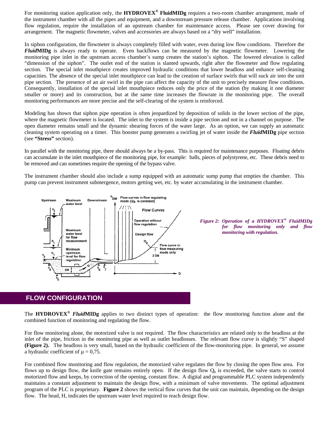For monitoring station application only, the **HYDROVEX® FluidMIDg** requires a two-room chamber arrangement, made of the instrument chamber with all the pipes and equipment, and a downstream pressure release chamber. Applications involving flow regulation, require the installation of an upstream chamber for maintenance access. Please see cover drawing for arrangement. The magnetic flowmeter, valves and accessories are always based on a "dry well" installation.

In siphon configuration, the flowmeter is always completely filled with water, even during low flow conditions. Therefore the *Fluid***MIDg** is always ready to operate. Even backflows can be measured by the magnetic flowmeter. Lowering the monitoring pipe inlet in the upstream access chamber's sump creates the station's siphon. The lowered elevation is called "dimension of the siphon". The outlet end of the station is slanted upwards, right after the flowmeter and flow regulating section. The special inlet mouthpiece creates improved hydraulic conditions that lower headloss and enhance self-cleaning capacities. The absence of the special inlet mouthpiece can lead to the creation of surface swirls that will suck air into the unit pipe section. The presence of an air swirl in the pipe can affect the capacity of the unit to precisely measure flow conditions. Consequently, installation of the special inlet mouthpiece reduces only the price of the station (by making it one diameter smaller or more) and its construction, but at the same time increases the flowrate in the monitoring pipe. The overall monitoring performances are more precise and the self-clearing of the system is reinforced.

Modeling has shown that siphon pipe operation is often jeopardized by deposition of solids in the lower section of the pipe, where the magnetic flowmeter is located. The inlet to the system is inside a pipe section and not in a channel on purpose. The open diameter remains small and the dynamic shearing forces of the water large. As an option, we can supply an automatic cleaning system operating on a timer. This booster pump generates a swirling jet of water inside the *Fluid***MIDg** pipe section (see **"Stress"** section).

In parallel with the monitoring pipe, there should always be a by-pass. This is required for maintenance purposes. Floating debris can accumulate in the inlet mouthpiece of the monitoring pipe, for example: balls, pieces of polystyrene, etc. These debris need to be removed and can sometimes require the opening of the bypass valve.

The instrument chamber should also include a sump equipped with an automatic sump pump that empties the chamber. This pump can prevent instrument submergence, motors getting wet, etc. by water accumulating in the instrument chamber.



*Figure 2: Operation of a HYDROVEX® FluidMIDg for flow monitoring only and flow monitoring with regulation.* 

#### **FLOW CONFIGURATION**

The **HYDROVEX®** *Fluid***MIDg** applies to two distinct types of operation: the flow monitoring function alone and the combined function of monitoring and regulating the flow.

For flow monitoring alone, the motorized valve is not required. The flow characteristics are related only to the headloss at the inlet of the pipe, friction in the monitoring pipe as well as outlet headlosses. The relevant flow curve is slightly "S" shaped **(Figure 2).** The headloss is very small, based on the hydraulic coefficient of the flow-monitoring pipe. In general, we assume a hydraulic coefficient of  $\mu = 0.75$ .

For combined flow monitoring and flow regulation, the motorized valve regulates the flow by closing the open flow area. For flows up to design flow, the knife gate remains entirely open. If the design flow  $Q<sub>b</sub>$  is exceeded, the valve starts to control motorized flow and keeps, by correction of the opening, constant flow. A digital and programmable PLC system independently maintains a constant adjustment to maintain the design flow, with a minimum of valve movements. The optimal adjustment program of the PLC is proprietary. **Figure 2** shows the vertical flow curves that the unit can maintain, depending on the design flow. The head, H, indicates the upstream water level required to reach design flow.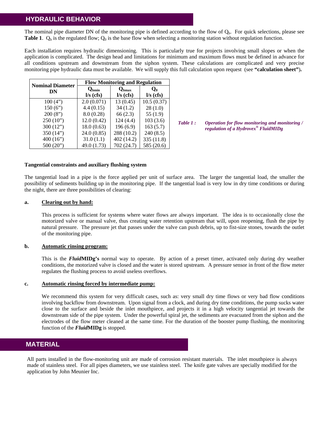# **HYDRAULIC BEHAVIOR**

The nominal pipe diameter DN of the monitoring pipe is defined according to the flow of  $Q<sub>b</sub>$ . For quick selections, please see **Table 1**.  $Q_b$  is the regulated flow;  $Q_0$  is the base flow when selecting a monitoring station without regulation function.

Each installation requires hydraulic dimensioning. This is particularly true for projects involving small slopes or when the application is complicated. The design head and limitations for minimum and maximum flows must be defined in advance for all conditions upstream and downstream from the siphon system. These calculations are complicated and very precise monitoring pipe hydraulic data must be available. We will supply this full calculation upon request (see **"calculation sheet"**)**.**

| <b>Nominal Diameter</b><br>DN | <b>Flow Monitoring and Regulation</b>             |                                   |                      |
|-------------------------------|---------------------------------------------------|-----------------------------------|----------------------|
|                               | $\mathbf{Q}_{\text{bmin}}$<br>$\frac{1}{s}$ (cfs) | $Q_{bmax}$<br>$\frac{1}{s}$ (cfs) | $Q_0$<br>$I/s$ (cfs) |
| 100(4")                       | 2.0(0.071)                                        | 13(0.45)                          | 10.5(0.37)           |
| 150(6")                       | 4.4(0.15)                                         | 34(1.2)                           | 28(1.0)              |
| 200(8")                       | 8.0(0.28)                                         | 66(2.3)                           | 55 $(1.9)$           |
| 250(10")                      | 12.0(0.42)                                        | 124(4.4)                          | 103(3.6)             |
| 300 $(12")$                   | 18.0(0.63)                                        | 196(6.9)                          | 163(5.7)             |
| 350 $(14")$                   | 24.0(0.85)                                        | 288 (10.2)                        | 240(8.5)             |
| 400 $(16)$                    | 31.0(1.1)                                         | 402(14.2)                         | 335 (11.8)           |
| 500(20")                      | 49.0 (1.73)                                       | 702 (24.7)                        | 585 (20.6)           |

*Table 1 : Operation for flow monitoring and monitoring / regulation of a Hydrovex® FluidMIDg* 

#### **Tangential constraints and auxiliary flushing system**

The tangential load in a pipe is the force applied per unit of surface area. The larger the tangential load, the smaller the possibility of sediments building up in the monitoring pipe. If the tangential load is very low in dry time conditions or during the night, there are three possibilities of clearing:

#### **a. Clearing out by hand:**

 This process is sufficient for systems where water flows are always important. The idea is to occasionally close the motorized valve or manual valve, thus creating water retention upstream that will, upon reopening, flush the pipe by natural pressure. The pressure jet that passes under the valve can push debris, up to fist-size stones, towards the outlet of the monitoring pipe.

#### **b. Automatic rinsing program:**

This is the *Fluid***MIDg's** normal way to operate. By action of a preset timer, activated only during dry weather conditions, the motorized valve is closed and the water is stored upstream. A pressure sensor in front of the flow meter regulates the flushing process to avoid useless overflows.

#### **c. Automatic rinsing forced by intermediate pump:**

We recommend this system for very difficult cases, such as: very small dry time flows or very bad flow conditions involving backflow from downstream. Upon signal from a clock, and during dry time conditions, the pump sucks water close to the surface and beside the inlet mouthpiece, and projects it in a high velocity tangential jet towards the downstream side of the pipe system. Under the powerful spiral jet, the sediments are evacuated from the siphon and the electrodes of the flow meter cleaned at the same time. For the duration of the booster pump flushing, the monitoring function of the *Fluid***MIDg** is stopped.

#### **MATERIAL**

All parts installed in the flow-monitoring unit are made of corrosion resistant materials. The inlet mouthpiece is always made of stainless steel. For all pipes diameters, we use stainless steel. The knife gate valves are specially modified for the application by John Meunier Inc.